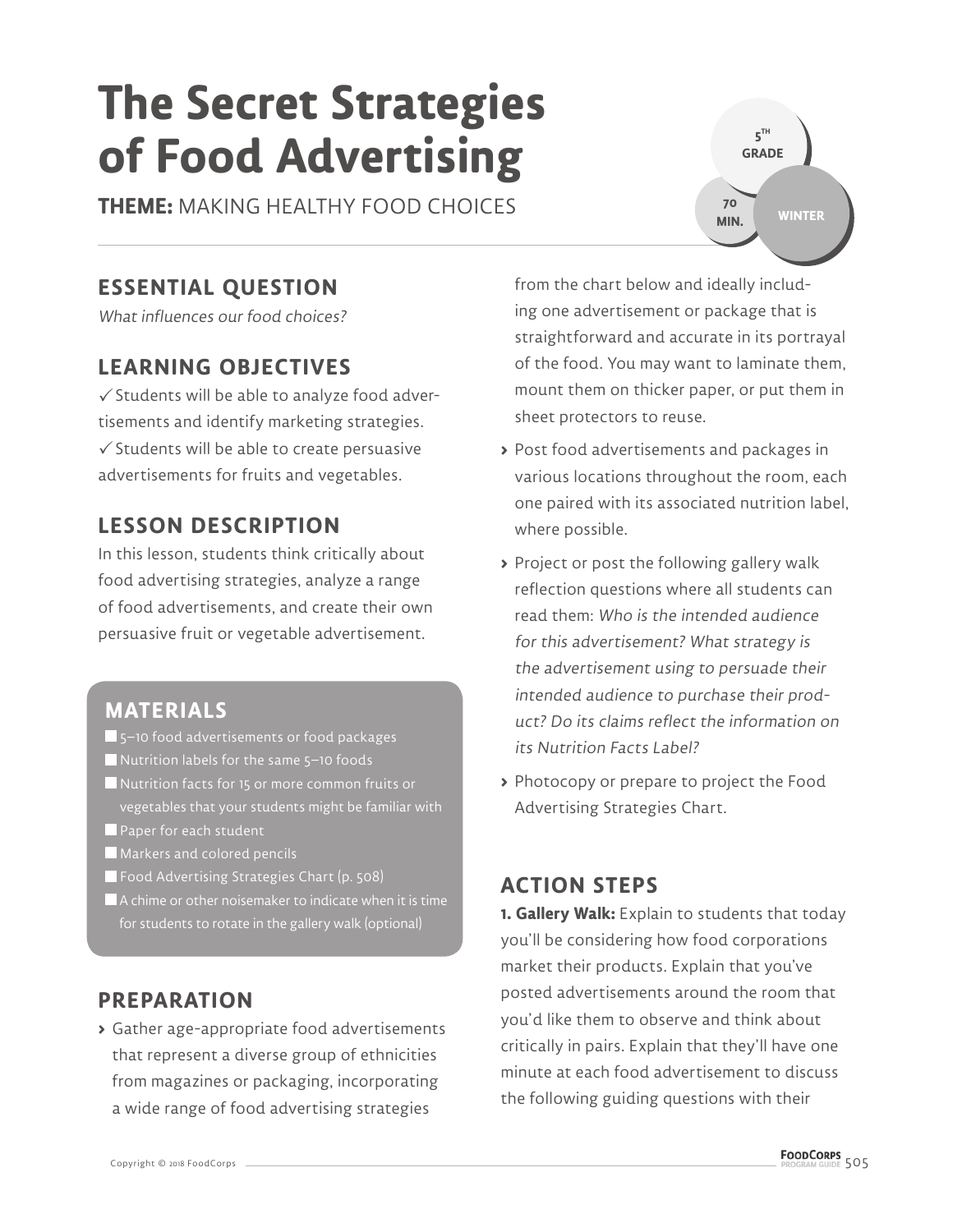# **The Secret Strategies of Food Advertising**

**THEME:** MAKING HEALTHY FOOD CHOICES

## **ESSENTIAL QUESTION**

What influences our food choices?

## **LEARNING OBJECTIVES**

 $\checkmark$  Students will be able to analyze food advertisements and identify marketing strategies.  $\checkmark$  Students will be able to create persuasive advertisements for fruits and vegetables.

## **LESSON DESCRIPTION**

In this lesson, students think critically about food advertising strategies, analyze a range of food advertisements, and create their own persuasive fruit or vegetable advertisement.

- **MATERIALS**
- 5–10 food advertisements or food packages
- Nutrition labels for the same 5-10 foods
- Nutrition facts for 15 or more common fruits or vegetables that your students might be familiar with
- Paper for each student
- Markers and colored pencils
- Food Advertising Strategies Chart (p. 508)
- A chime or other noisemaker to indicate when it is time for students to rotate in the gallery walk (optional)

## **PREPARATION**

**>** Gather age-appropriate food advertisements that represent a diverse group of ethnicities from magazines or packaging, incorporating a wide range of food advertising strategies

from the chart below and ideally including one advertisement or package that is straightforward and accurate in its portrayal of the food. You may want to laminate them, mount them on thicker paper, or put them in sheet protectors to reuse.

- **>** Post food advertisements and packages in various locations throughout the room, each one paired with its associated nutrition label, where possible.
- **>** Project or post the following gallery walk reflection questions where all students can read them: Who is the intended audience for this advertisement? What strategy is the advertisement using to persuade their intended audience to purchase their product? Do its claims reflect the information on its Nutrition Facts Label?
- **>** Photocopy or prepare to project the Food Advertising Strategies Chart.

## **ACTION STEPS**

**1. Gallery Walk:** Explain to students that today you'll be considering how food corporations market their products. Explain that you've posted advertisements around the room that you'd like them to observe and think about critically in pairs. Explain that they'll have one minute at each food advertisement to discuss the following guiding questions with their

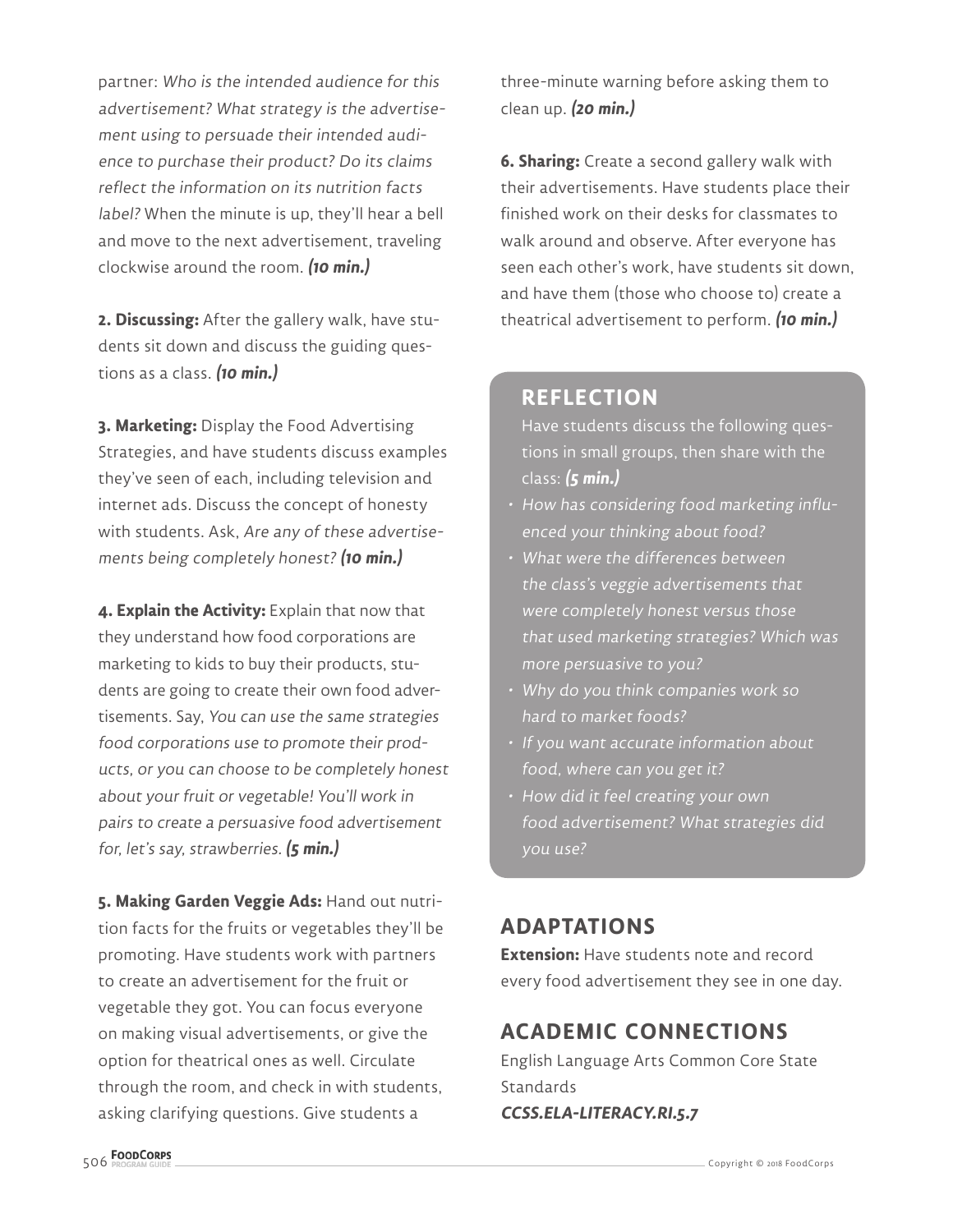partner: Who is the intended audience for this advertisement? What strategy is the advertisement using to persuade their intended audience to purchase their product? Do its claims reflect the information on its nutrition facts label? When the minute is up, they'll hear a bell and move to the next advertisement, traveling clockwise around the room. **(10 min.)**

**2. Discussing:** After the gallery walk, have students sit down and discuss the guiding questions as a class. **(10 min.)**

**3. Marketing:** Display the Food Advertising Strategies, and have students discuss examples they've seen of each, including television and internet ads. Discuss the concept of honesty with students. Ask, Are any of these advertisements being completely honest? **(10 min.)**

**4. Explain the Activity:** Explain that now that they understand how food corporations are marketing to kids to buy their products, students are going to create their own food advertisements. Say, You can use the same strategies food corporations use to promote their products, or you can choose to be completely honest about your fruit or vegetable! You'll work in pairs to create a persuasive food advertisement for, let's say, strawberries. **(5 min.)**

**5. Making Garden Veggie Ads:** Hand out nutrition facts for the fruits or vegetables they'll be promoting. Have students work with partners to create an advertisement for the fruit or vegetable they got. You can focus everyone on making visual advertisements, or give the option for theatrical ones as well. Circulate through the room, and check in with students, asking clarifying questions. Give students a

three-minute warning before asking them to clean up. **(20 min.)**

**6. Sharing:** Create a second gallery walk with their advertisements. Have students place their finished work on their desks for classmates to walk around and observe. After everyone has seen each other's work, have students sit down, and have them (those who choose to) create a theatrical advertisement to perform. **(10 min.)**

### **REFLECTION**

Have students discuss the following questions in small groups, then share with the class: **(5 min.)**

- How has considering food marketing influenced your thinking about food?
- What were the differences between the class's veggie advertisements that were completely honest versus those that used marketing strategies? Which was more persuasive to you?
- Why do you think companies work so hard to market foods?
- If you want accurate information about food, where can you get it?
- How did it feel creating your own food advertisement? What strategies did you use?

## **ADAPTATIONS**

**Extension:** Have students note and record every food advertisement they see in one day.

## **ACADEMIC CONNECTIONS**

English Language Arts Common Core State Standards **CCSS.ELA-LITERACY.RI.5.7**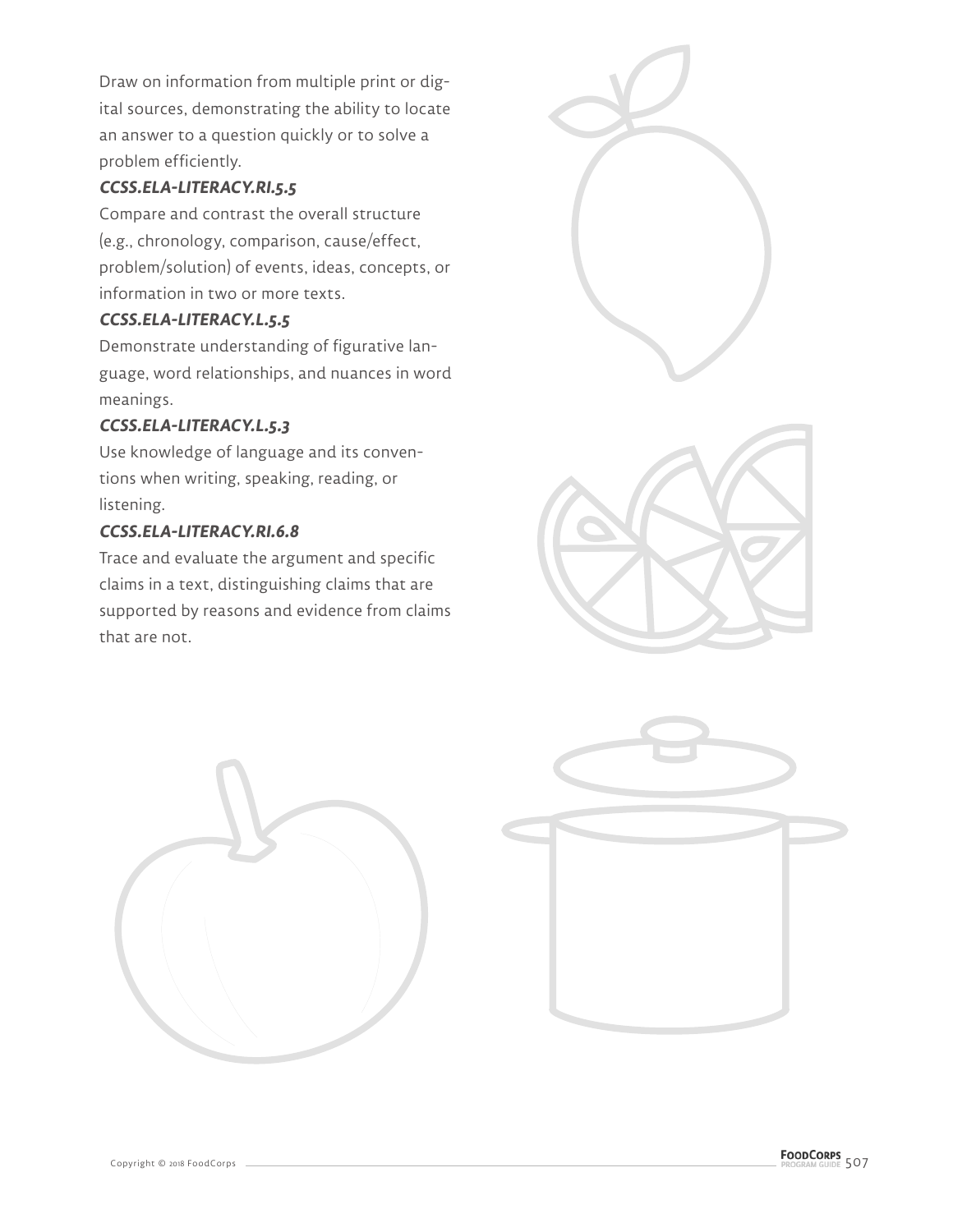Draw on information from multiple print or digital sources, demonstrating the ability to locate an answer to a question quickly or to solve a problem efficiently.

#### **CCSS.ELA-LITERACY.RI.5.5**

Compare and contrast the overall structure (e.g., chronology, comparison, cause/effect, problem/solution) of events, ideas, concepts, or information in two or more texts.

#### **CCSS.ELA-LITERACY.L.5.5**

Demonstrate understanding of figurative language, word relationships, and nuances in word meanings.

#### **CCSS.ELA-LITERACY.L.5.3**

Use knowledge of language and its conventions when writing, speaking, reading, or listening.

#### **CCSS.ELA-LITERACY.RI.6.8**

Trace and evaluate the argument and specific claims in a text, distinguishing claims that are supported by reasons and evidence from claims that are not.